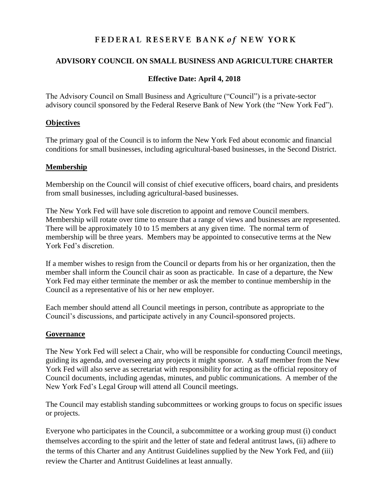# **FEDERAL RESERVE BANK of NEW YORK**

# **ADVISORY COUNCIL ON SMALL BUSINESS AND AGRICULTURE CHARTER**

## **Effective Date: April 4, 2018**

The Advisory Council on Small Business and Agriculture ("Council") is a private-sector advisory council sponsored by the Federal Reserve Bank of New York (the "New York Fed").

### **Objectives**

The primary goal of the Council is to inform the New York Fed about economic and financial conditions for small businesses, including agricultural-based businesses, in the Second District.

#### **Membership**

Membership on the Council will consist of chief executive officers, board chairs, and presidents from small businesses, including agricultural-based businesses.

The New York Fed will have sole discretion to appoint and remove Council members. Membership will rotate over time to ensure that a range of views and businesses are represented. There will be approximately 10 to 15 members at any given time. The normal term of membership will be three years. Members may be appointed to consecutive terms at the New York Fed's discretion.

If a member wishes to resign from the Council or departs from his or her organization, then the member shall inform the Council chair as soon as practicable. In case of a departure, the New York Fed may either terminate the member or ask the member to continue membership in the Council as a representative of his or her new employer.

Each member should attend all Council meetings in person, contribute as appropriate to the Council's discussions, and participate actively in any Council-sponsored projects.

#### **Governance**

The New York Fed will select a Chair, who will be responsible for conducting Council meetings, guiding its agenda, and overseeing any projects it might sponsor. A staff member from the New York Fed will also serve as secretariat with responsibility for acting as the official repository of Council documents, including agendas, minutes, and public communications. A member of the New York Fed's Legal Group will attend all Council meetings.

The Council may establish standing subcommittees or working groups to focus on specific issues or projects.

Everyone who participates in the Council, a subcommittee or a working group must (i) conduct themselves according to the spirit and the letter of state and federal antitrust laws, (ii) adhere to the terms of this Charter and any Antitrust Guidelines supplied by the New York Fed, and (iii) review the Charter and Antitrust Guidelines at least annually.